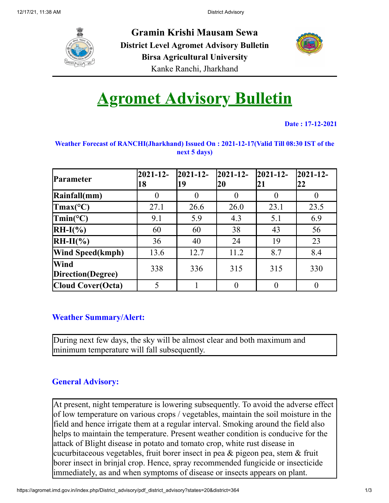

**Gramin Krishi Mausam Sewa District Level Agromet Advisory Bulletin Birsa Agricultural University** Kanke Ranchi, Jharkhand



# **Agromet Advisory Bulletin**

**Date : 17-12-2021**

| <b>Parameter</b>                  | $2021 - 12$<br>18 | $2021 - 12$<br>19 | $2021 - 12$<br> 20 | $2021 - 12$<br>21 | $2021 - 12$<br>22 |
|-----------------------------------|-------------------|-------------------|--------------------|-------------------|-------------------|
| Rainfall(mm)                      |                   | 0                 | $\theta$           |                   |                   |
| $\text{Tmax}(\text{°C})$          | 27.1              | 26.6              | 26.0               | 23.1              | 23.5              |
| $\text{Tmin}(\text{°C})$          | 9.1               | 5.9               | 4.3                | 5.1               | 6.9               |
| $RH-I(\%)$                        | 60                | 60                | 38                 | 43                | 56                |
| $RH-II(\%)$                       | 36                | 40                | 24                 | 19                | 23                |
| <b>Wind Speed(kmph)</b>           | 13.6              | 12.7              | 11.2               | 8.7               | 8.4               |
| <b>Wind</b><br>Direction (Degree) | 338               | 336               | 315                | 315               | 330               |
| <b>Cloud Cover(Octa)</b>          | 5                 |                   | $\theta$           |                   |                   |

#### **Weather Forecast of RANCHI(Jharkhand) Issued On : 2021-12-17(Valid Till 08:30 IST of the next 5 days)**

#### **Weather Summary/Alert:**

During next few days, the sky will be almost clear and both maximum and minimum temperature will fall subsequently.

### **General Advisory:**

At present, night temperature is lowering subsequently. To avoid the adverse effect of low temperature on various crops / vegetables, maintain the soil moisture in the field and hence irrigate them at a regular interval. Smoking around the field also helps to maintain the temperature. Present weather condition is conducive for the attack of Blight disease in potato and tomato crop, white rust disease in cucurbitaceous vegetables, fruit borer insect in pea & pigeon pea, stem & fruit borer insect in brinjal crop. Hence, spray recommended fungicide or insecticide immediately, as and when symptoms of disease or insects appears on plant.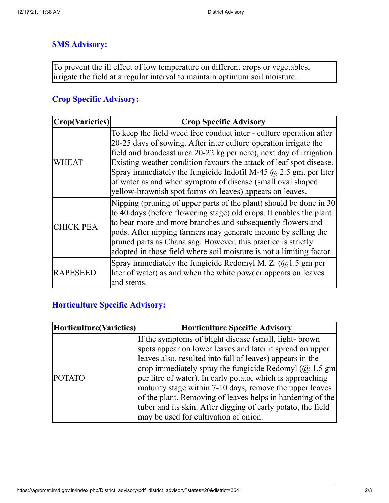#### **SMS Advisory:**

To prevent the ill effect of low temperature on different crops or vegetables, irrigate the field at a regular interval to maintain optimum soil moisture.

#### **Crop Specific Advisory:**

| <b>Crop(Varieties)</b> | <b>Crop Specific Advisory</b>                                                                                                                                                                                                                                                                                                                                                                                                                                                              |
|------------------------|--------------------------------------------------------------------------------------------------------------------------------------------------------------------------------------------------------------------------------------------------------------------------------------------------------------------------------------------------------------------------------------------------------------------------------------------------------------------------------------------|
| WHEAT                  | To keep the field weed free conduct inter - culture operation after<br>20-25 days of sowing. After inter culture operation irrigate the<br>field and broadcast urea 20-22 kg per acre), next day of irrigation<br>Existing weather condition favours the attack of leaf spot disease.<br>Spray immediately the fungicide Indofil M-45 $\omega$ 2.5 gm. per liter<br>of water as and when symptom of disease (small oval shaped<br>yellow-brownish spot forms on leaves) appears on leaves. |
| <b>CHICK PEA</b>       | Nipping (pruning of upper parts of the plant) should be done in 30<br>to 40 days (before flowering stage) old crops. It enables the plant<br>to bear more and more branches and subsequently flowers and<br>pods. After nipping farmers may generate income by selling the<br>pruned parts as Chana sag. However, this practice is strictly<br>adopted in those field where soil moisture is not a limiting factor.                                                                        |
| <b>RAPESEED</b>        | Spray immediately the fungicide Redomyl M. Z. $(Q)$ 1.5 gm per<br>liter of water) as and when the white powder appears on leaves<br>and stems.                                                                                                                                                                                                                                                                                                                                             |

## **Horticulture Specific Advisory:**

| If the symptoms of blight disease (small, light- brown<br>leaves also, resulted into fall of leaves) appears in the | Horticulture(Varieties) | <b>Horticulture Specific Advisory</b>                                                                                                                                                                                                                                                                                                                                         |  |  |
|---------------------------------------------------------------------------------------------------------------------|-------------------------|-------------------------------------------------------------------------------------------------------------------------------------------------------------------------------------------------------------------------------------------------------------------------------------------------------------------------------------------------------------------------------|--|--|
| <b>POTATO</b><br>may be used for cultivation of onion.                                                              |                         | spots appear on lower leaves and later it spread on upper<br>crop immediately spray the fungicide Redomyl $(Q$ 1.5 gm<br>per litre of water). In early potato, which is approaching<br>maturity stage within 7-10 days, remove the upper leaves<br>of the plant. Removing of leaves helps in hardening of the<br>tuber and its skin. After digging of early potato, the field |  |  |